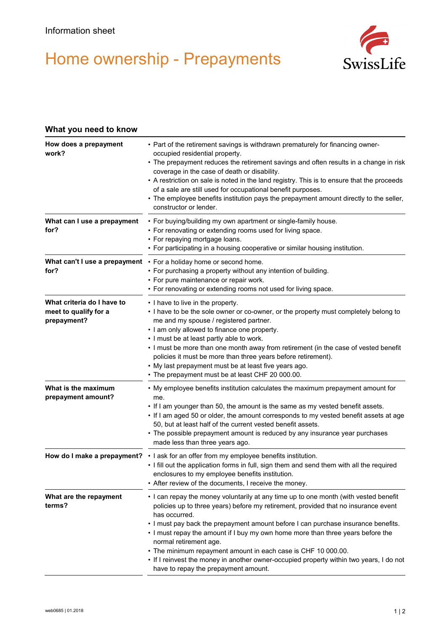## Home ownership - Prepayments



## **What you need to know**

| How does a prepayment<br>work?                                     | • Part of the retirement savings is withdrawn prematurely for financing owner-<br>occupied residential property.<br>• The prepayment reduces the retirement savings and often results in a change in risk<br>coverage in the case of death or disability.<br>• A restriction on sale is noted in the land registry. This is to ensure that the proceeds<br>of a sale are still used for occupational benefit purposes.<br>• The employee benefits institution pays the prepayment amount directly to the seller,<br>constructor or lender.                                                        |
|--------------------------------------------------------------------|---------------------------------------------------------------------------------------------------------------------------------------------------------------------------------------------------------------------------------------------------------------------------------------------------------------------------------------------------------------------------------------------------------------------------------------------------------------------------------------------------------------------------------------------------------------------------------------------------|
| What can I use a prepayment<br>for?                                | • For buying/building my own apartment or single-family house.<br>• For renovating or extending rooms used for living space.<br>• For repaying mortgage loans.<br>• For participating in a housing cooperative or similar housing institution.                                                                                                                                                                                                                                                                                                                                                    |
| What can't I use a prepayment<br>for?                              | • For a holiday home or second home.<br>• For purchasing a property without any intention of building.<br>• For pure maintenance or repair work.<br>• For renovating or extending rooms not used for living space.                                                                                                                                                                                                                                                                                                                                                                                |
| What criteria do I have to<br>meet to qualify for a<br>prepayment? | • I have to live in the property.<br>. I have to be the sole owner or co-owner, or the property must completely belong to<br>me and my spouse / registered partner.<br>• I am only allowed to finance one property.<br>• I must be at least partly able to work.<br>. I must be more than one month away from retirement (in the case of vested benefit<br>policies it must be more than three years before retirement).<br>• My last prepayment must be at least five years ago.<br>• The prepayment must be at least CHF 20 000.00.                                                             |
| What is the maximum<br>prepayment amount?                          | • My employee benefits institution calculates the maximum prepayment amount for<br>me.<br>• If I am younger than 50, the amount is the same as my vested benefit assets.<br>. If I am aged 50 or older, the amount corresponds to my vested benefit assets at age<br>50, but at least half of the current vested benefit assets.<br>• The possible prepayment amount is reduced by any insurance year purchases<br>made less than three years ago.                                                                                                                                                |
| How do I make a prepayment?                                        | • I ask for an offer from my employee benefits institution.<br>. I fill out the application forms in full, sign them and send them with all the required<br>enclosures to my employee benefits institution.<br>• After review of the documents, I receive the money.                                                                                                                                                                                                                                                                                                                              |
| What are the repayment<br>terms?                                   | • I can repay the money voluntarily at any time up to one month (with vested benefit<br>policies up to three years) before my retirement, provided that no insurance event<br>has occurred.<br>. I must pay back the prepayment amount before I can purchase insurance benefits.<br>. I must repay the amount if I buy my own home more than three years before the<br>normal retirement age.<br>• The minimum repayment amount in each case is CHF 10 000.00.<br>• If I reinvest the money in another owner-occupied property within two years, I do not<br>have to repay the prepayment amount. |